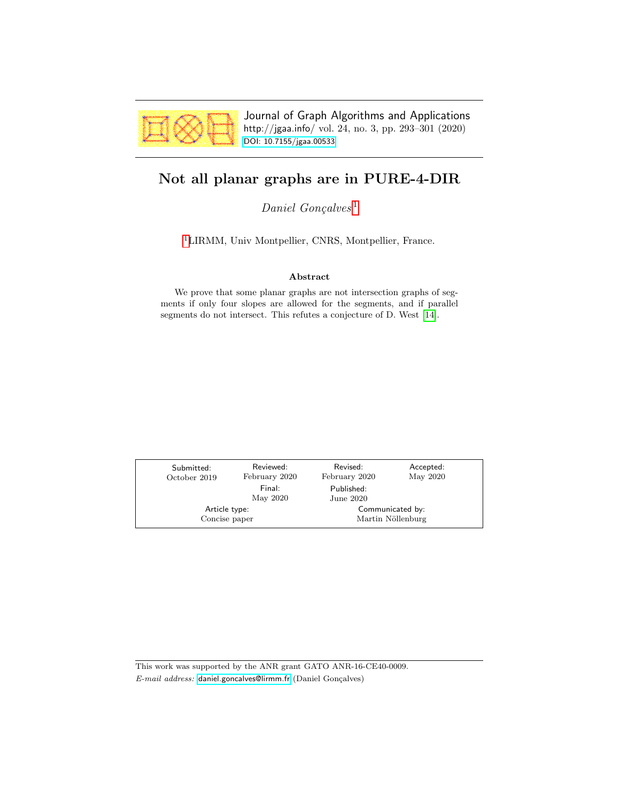

Journal of Graph Algorithms and Applications http://jgaa.info/ vol. 24, no. 3, pp. 293–301 (2020) [DOI: 10.7155/jgaa.00533](http://dx.doi.org/10.7155/jgaa.00533)

# <span id="page-0-0"></span>Not all planar graphs are in PURE-4-DIR

 $Daniel$   $Goncalves<sup>1</sup>$  $Goncalves<sup>1</sup>$  $Goncalves<sup>1</sup>$ 

[1](#page-0-0)LIRMM, Univ Montpellier, CNRS, Montpellier, France.

#### Abstract

We prove that some planar graphs are not intersection graphs of segments if only four slopes are allowed for the segments, and if parallel segments do not intersect. This refutes a conjecture of D. West [\[14\]](#page-8-0).

| Submitted:<br>October 2019     | Reviewed:<br>February 2020 | Revised:<br>February 2020             | Accepted:<br>May 2020 |  |
|--------------------------------|----------------------------|---------------------------------------|-----------------------|--|
|                                | Final:<br>May 2020         | Published:<br>June 2020               |                       |  |
| Article type:<br>Concise paper |                            | Communicated by:<br>Martin Nöllenburg |                       |  |

This work was supported by the ANR grant GATO ANR-16-CE40-0009. E-mail address: [daniel.goncalves@lirmm.fr](mailto:daniel.goncalves@lirmm.fr) (Daniel Gonçalves)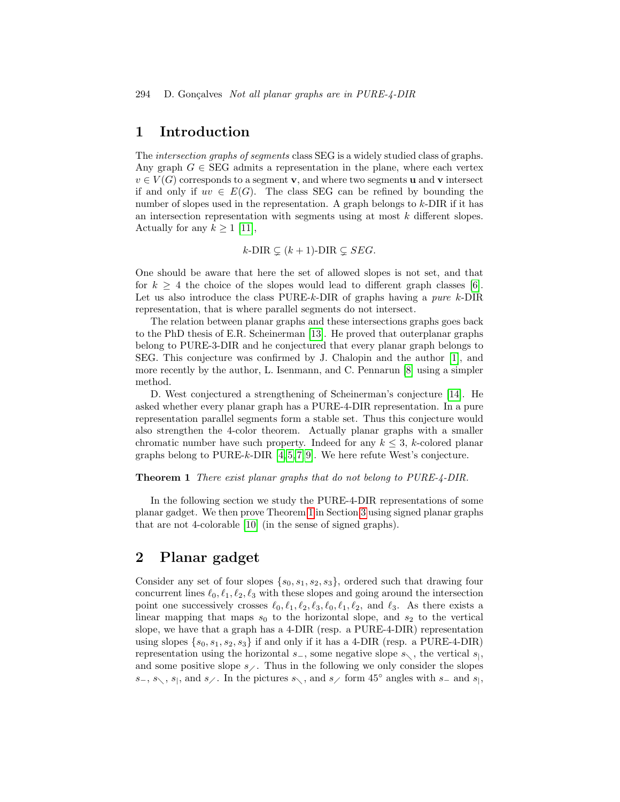#### 1 Introduction

The intersection graphs of segments class SEG is a widely studied class of graphs. Any graph  $G \in \text{SEG}$  admits a representation in the plane, where each vertex  $v \in V(G)$  corresponds to a segment **v**, and where two segments **u** and **v** intersect if and only if  $uv \in E(G)$ . The class SEG can be refined by bounding the number of slopes used in the representation. A graph belongs to  $k$ -DIR if it has an intersection representation with segments using at most k different slopes. Actually for any  $k \geq 1$  [\[11\]](#page-7-0),

$$
k\text{-DIR} \subsetneq (k+1)\text{-DIR} \subsetneq SEG.
$$

One should be aware that here the set of allowed slopes is not set, and that for  $k > 4$  the choice of the slopes would lead to different graph classes [\[6\]](#page-7-1). Let us also introduce the class PURE-k-DIR of graphs having a pure  $k$ -DIR representation, that is where parallel segments do not intersect.

The relation between planar graphs and these intersections graphs goes back to the PhD thesis of E.R. Scheinerman [\[13\]](#page-8-1). He proved that outerplanar graphs belong to PURE-3-DIR and he conjectured that every planar graph belongs to SEG. This conjecture was confirmed by J. Chalopin and the author [\[1\]](#page-7-2), and more recently by the author, L. Isenmann, and C. Pennarun [\[8\]](#page-7-3) using a simpler method.

D. West conjectured a strengthening of Scheinerman's conjecture [\[14\]](#page-8-0). He asked whether every planar graph has a PURE-4-DIR representation. In a pure representation parallel segments form a stable set. Thus this conjecture would also strengthen the 4-color theorem. Actually planar graphs with a smaller chromatic number have such property. Indeed for any  $k \leq 3$ , k-colored planar graphs belong to PURE-k-DIR  $[4, 5, 7, 9]$  $[4, 5, 7, 9]$  $[4, 5, 7, 9]$  $[4, 5, 7, 9]$ . We here refute West's conjecture.

#### <span id="page-1-0"></span>Theorem 1 There exist planar graphs that do not belong to PURE-4-DIR.

In the following section we study the PURE-4-DIR representations of some planar gadget. We then prove Theorem [1](#page-1-0) in Section [3](#page-3-0) using signed planar graphs that are not 4-colorable [\[10\]](#page-7-8) (in the sense of signed graphs).

### 2 Planar gadget

Consider any set of four slopes  $\{s_0, s_1, s_2, s_3\}$ , ordered such that drawing four concurrent lines  $\ell_0, \ell_1, \ell_2, \ell_3$  with these slopes and going around the intersection point one successively crosses  $\ell_0, \ell_1, \ell_2, \ell_3, \ell_0, \ell_1, \ell_2$ , and  $\ell_3$ . As there exists a linear mapping that maps  $s_0$  to the horizontal slope, and  $s_2$  to the vertical slope, we have that a graph has a 4-DIR (resp. a PURE-4-DIR) representation using slopes  $\{s_0, s_1, s_2, s_3\}$  if and only if it has a 4-DIR (resp. a PURE-4-DIR) representation using the horizontal  $s_-,$  some negative slope  $s_\\zeta$ , the vertical  $s_|$ , and some positive slope  $s$ . Thus in the following we only consider the slopes  $s_-, s_-, s_-, s_$ , and  $s_$ . In the pictures s, and s form 45° angles with s<sub>-</sub> and s<sub>|</sub>,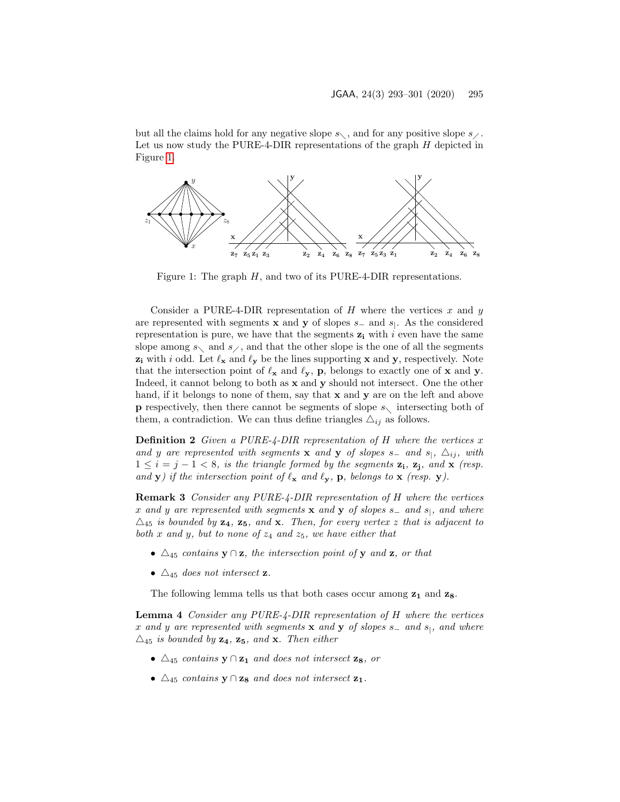but all the claims hold for any negative slope  $s_{\setminus}$ , and for any positive slope  $s_{\setminus}$ . Let us now study the PURE-4-DIR representations of the graph  $H$  depicted in Figure [1.](#page-2-0)



<span id="page-2-0"></span>Figure 1: The graph  $H$ , and two of its PURE-4-DIR representations.

Consider a PURE-4-DIR representation of  $H$  where the vertices  $x$  and  $y$ are represented with segments **x** and **y** of slopes  $s_$  and  $s_$ . As the considered representation is pure, we have that the segments  $z_i$  with i even have the same slope among  $s_{\setminus}$  and  $s_{\setminus}$ , and that the other slope is the one of all the segments  $z_i$  with i odd. Let  $\ell_x$  and  $\ell_y$  be the lines supporting x and y, respectively. Note that the intersection point of  $\ell_x$  and  $\ell_y$ , p, belongs to exactly one of x and y. Indeed, it cannot belong to both as x and y should not intersect. One the other hand, if it belongs to none of them, say that **x** and **y** are on the left and above **p** respectively, then there cannot be segments of slope  $s\setminus$  intersecting both of them, a contradiction. We can thus define triangles  $\Delta_{ij}$  as follows.

**Definition 2** Given a PURE-4-DIR representation of H where the vertices x and y are represented with segments x and y of slopes s<sub>−</sub> and s<sub>|</sub>,  $\Delta_{ij}$ , with  $1 \leq i = j - 1 < 8$ , is the triangle formed by the segments  $z_i$ ,  $z_j$ , and  $x$  (resp. and y) if the intersection point of  $\ell_x$  and  $\ell_y$ , p, belongs to x (resp. y).

<span id="page-2-1"></span>Remark 3 Consider any PURE-4-DIR representation of H where the vertices x and y are represented with segments x and y of slopes s<sub>-</sub> and s<sub>|</sub>, and where  $\triangle_{45}$  is bounded by  $z_4$ ,  $z_5$ , and x. Then, for every vertex z that is adjacent to both x and y, but to none of  $z_4$  and  $z_5$ , we have either that

- $\Delta_{45}$  contains  $y \cap z$ , the intersection point of y and z, or that
- $\Delta_{45}$  does not intersect **z**.

The following lemma tells us that both cases occur among  $z_1$  and  $z_8$ .

<span id="page-2-2"></span>Lemma 4 Consider any PURE-4-DIR representation of H where the vertices x and y are represented with segments x and y of slopes  $s_$  and  $s_1$ , and where  $\triangle_{45}$  is bounded by  $z_4$ ,  $z_5$ , and x. Then either

- $\Delta_{45}$  contains  $y \cap z_1$  and does not intersect  $z_8$ , or
- $\Delta_{45}$  contains  $\mathbf{y} \cap \mathbf{z}_8$  and does not intersect  $\mathbf{z}_1$ .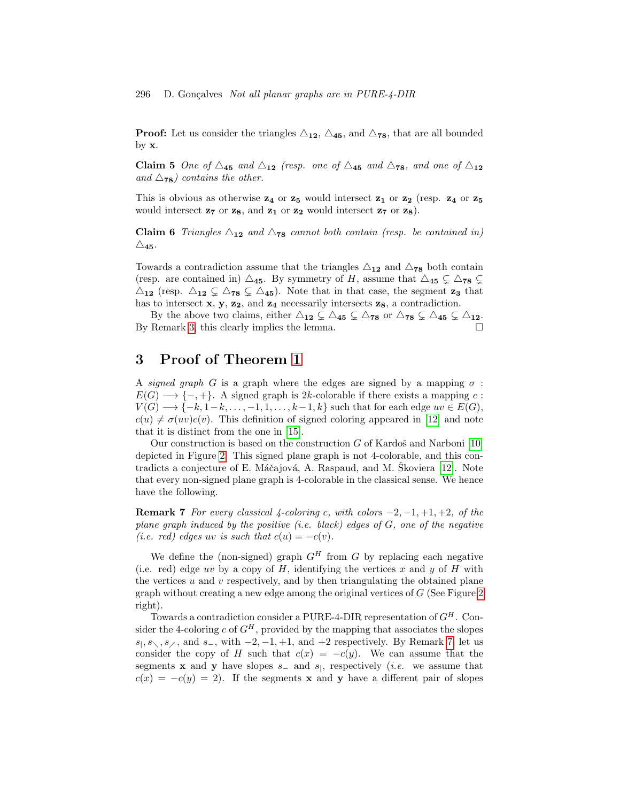**Proof:** Let us consider the triangles  $\triangle_{12}$ ,  $\triangle_{45}$ , and  $\triangle_{78}$ , that are all bounded by  $\mathbf{x}$ .

Claim 5 One of  $\triangle_{45}$  and  $\triangle_{12}$  (resp. one of  $\triangle_{45}$  and  $\triangle_{78}$ , and one of  $\triangle_{12}$ and  $\triangle$ <sub>78</sub>) contains the other.

This is obvious as otherwise  $z_4$  or  $z_5$  would intersect  $z_1$  or  $z_2$  (resp.  $z_4$  or  $z_5$ would intersect  $z_7$  or  $z_8$ , and  $z_1$  or  $z_2$  would intersect  $z_7$  or  $z_8$ ).

**Claim 6** Triangles  $\Delta_{12}$  and  $\Delta_{78}$  cannot both contain (resp. be contained in)  $\triangle_{\bf 45}$  .

Towards a contradiction assume that the triangles  $\triangle_{12}$  and  $\triangle_{78}$  both contain (resp. are contained in)  $\Delta_{45}$ . By symmetry of H, assume that  $\Delta_{45} \subsetneq \Delta_{78} \subsetneq$  $\triangle_{12}$  (resp.  $\triangle_{12} \subsetneq \triangle_{78} \subsetneq \triangle_{45}$ ). Note that in that case, the segment  $z_3$  that has to intersect  $x, y, z_2$ , and  $z_4$  necessarily intersects  $z_8$ , a contradiction.

By the above two claims, either  $\triangle_{12} \subsetneq \triangle_{45} \subsetneq \triangle_{78}$  or  $\triangle_{78} \subsetneq \triangle_{45} \subsetneq \triangle_{12}$ . By Remark [3,](#page-2-1) this clearly implies the lemma.  $\Box$ 

### <span id="page-3-0"></span>3 Proof of Theorem [1](#page-1-0)

A signed graph G is a graph where the edges are signed by a mapping  $\sigma$ :  $E(G) \longrightarrow \{-, +\}.$  A signed graph is 2k-colorable if there exists a mapping c:  $V(G) \longrightarrow \{-k, 1-k, \ldots, -1, 1, \ldots, k-1, k\}$  such that for each edge  $uv \in E(G)$ ,  $c(u) \neq \sigma(uv)c(v)$ . This definition of signed coloring appeared in [\[12\]](#page-7-9) and note that it is distinct from the one in [\[15\]](#page-8-2).

Our construction is based on the construction  $G$  of Kardoš and Narboni [\[10\]](#page-7-8) depicted in Figure [2.](#page-4-0) This signed plane graph is not 4-colorable, and this con-tradicts a conjecture of E. Máčajová, A. Raspaud, and M. Škoviera [\[12\]](#page-7-9). Note that every non-signed plane graph is 4-colorable in the classical sense. We hence have the following.

<span id="page-3-1"></span>**Remark 7** For every classical 4-coloring c, with colors  $-2$ ,  $-1$ ,  $+1$ ,  $+2$ , of the plane graph induced by the positive (i.e. black) edges of  $G$ , one of the negative (i.e. red) edges uv is such that  $c(u) = -c(v)$ .

We define the (non-signed) graph  $G^H$  from G by replacing each negative (i.e. red) edge uv by a copy of  $H$ , identifying the vertices  $x$  and  $y$  of  $H$  with the vertices  $u$  and  $v$  respectively, and by then triangulating the obtained plane graph without creating a new edge among the original vertices of G (See Figure [2](#page-4-0) right).

Towards a contradiction consider a PURE-4-DIR representation of  $G^H$ . Consider the 4-coloring c of  $G^H$ , provided by the mapping that associates the slopes  $s_1, s_1, s_2, s_3$ , and s<sub>-</sub>, with  $-2, -1, +1$ , and  $+2$  respectively. By Remark [7,](#page-3-1) let us consider the copy of H such that  $c(x) = -c(y)$ . We can assume that the segments **x** and **y** have slopes  $s_$  and  $s_$ , respectively (*i.e.* we assume that  $c(x) = -c(y) = 2$ . If the segments **x** and **y** have a different pair of slopes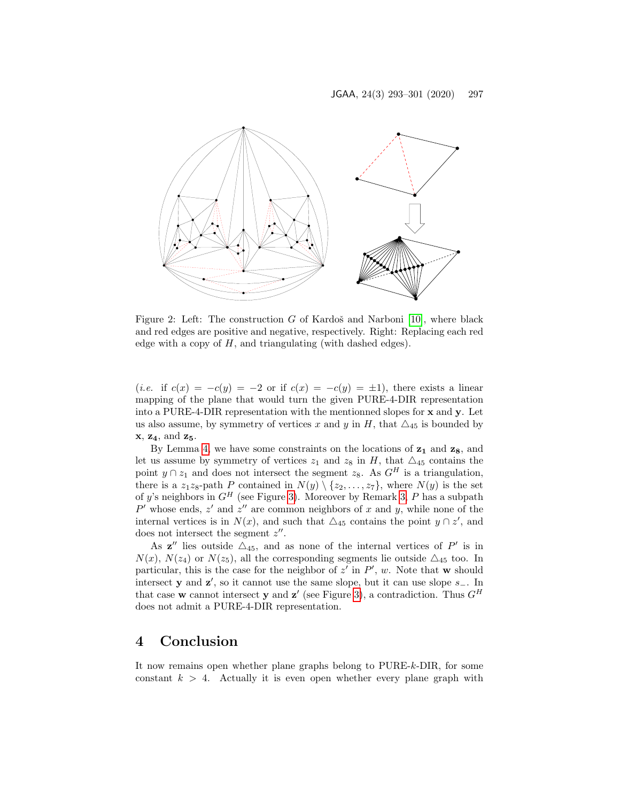

<span id="page-4-0"></span>Figure 2: Left: The construction  $G$  of Kardoš and Narboni [\[10\]](#page-7-8), where black and red edges are positive and negative, respectively. Right: Replacing each red edge with a copy of  $H$ , and triangulating (with dashed edges).

(*i.e.* if  $c(x) = -c(y) = -2$  or if  $c(x) = -c(y) = \pm 1$ ), there exists a linear mapping of the plane that would turn the given PURE-4-DIR representation into a PURE-4-DIR representation with the mentionned slopes for x and y. Let us also assume, by symmetry of vertices x and y in H, that  $\triangle_{45}$  is bounded by  $x, z_4, and z_5.$ 

By Lemma [4,](#page-2-2) we have some constraints on the locations of  $z_1$  and  $z_8$ , and let us assume by symmetry of vertices  $z_1$  and  $z_8$  in H, that  $\triangle_{45}$  contains the point  $y \cap z_1$  and does not intersect the segment  $z_8$ . As  $G^H$  is a triangulation, there is a z<sub>1</sub>z<sub>8</sub>-path P contained in  $N(y) \setminus \{z_2, \ldots, z_7\}$ , where  $N(y)$  is the set of y's neighbors in  $G^H$  (see Figure [3\)](#page-5-0). Moreover by Remark [3,](#page-2-1) P has a subpath P' whose ends,  $z'$  and  $z''$  are common neighbors of x and y, while none of the internal vertices is in  $N(x)$ , and such that  $\triangle_{45}$  contains the point  $y \cap z'$ , and does not intersect the segment  $z''$ .

As  $z''$  lies outside  $\Delta_{45}$ , and as none of the internal vertices of P' is in  $N(x)$ ,  $N(z_4)$  or  $N(z_5)$ , all the corresponding segments lie outside  $\triangle_{45}$  too. In particular, this is the case for the neighbor of  $z'$  in  $P'$ , w. Note that w should intersect **y** and **z'**, so it cannot use the same slope, but it can use slope  $s_$ . In that case w cannot intersect y and z' (see Figure [3\)](#page-5-0), a contradiction. Thus  $G^H$ does not admit a PURE-4-DIR representation.

#### 4 Conclusion

It now remains open whether plane graphs belong to PURE-k-DIR, for some constant  $k > 4$ . Actually it is even open whether every plane graph with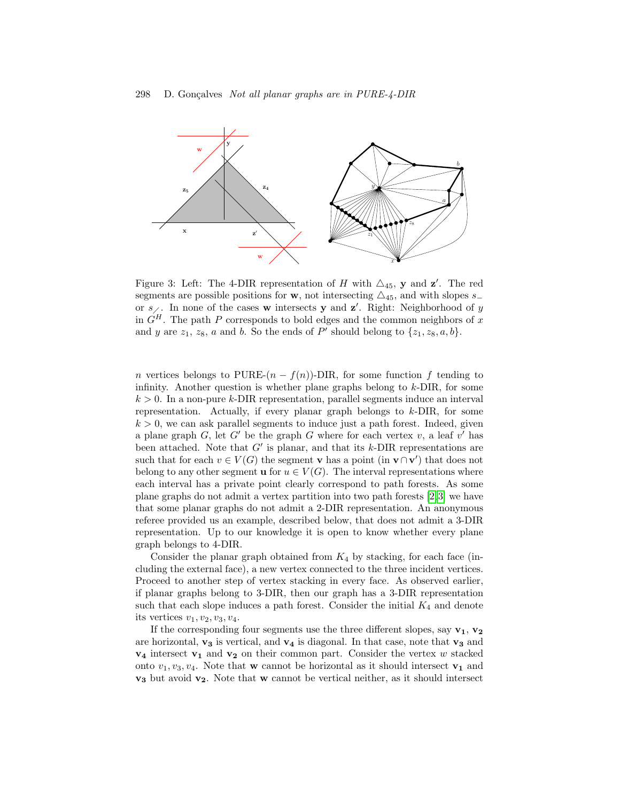

<span id="page-5-0"></span>Figure 3: Left: The 4-DIR representation of H with  $\triangle_{45}$ , y and z'. The red segments are possible positions for w, not intersecting  $\triangle_{45}$ , and with slopes s− or  $s_{\ell}$ . In none of the cases w intersects y and z'. Right: Neighborhood of y in  $G<sup>H</sup>$ . The path P corresponds to bold edges and the common neighbors of x and y are  $z_1$ ,  $z_8$ , a and b. So the ends of P' should belong to  $\{z_1, z_8, a, b\}$ .

n vertices belongs to PURE- $(n - f(n))$ -DIR, for some function f tending to infinity. Another question is whether plane graphs belong to k-DIR, for some  $k > 0$ . In a non-pure k-DIR representation, parallel segments induce an interval representation. Actually, if every planar graph belongs to k-DIR, for some  $k > 0$ , we can ask parallel segments to induce just a path forest. Indeed, given a plane graph  $G$ , let  $G'$  be the graph G where for each vertex  $v$ , a leaf  $v'$  has been attached. Note that  $G'$  is planar, and that its  $k$ -DIR representations are such that for each  $v \in V(G)$  the segment **v** has a point (in **v**∩**v**') that does not belong to any other segment **u** for  $u \in V(G)$ . The interval representations where each interval has a private point clearly correspond to path forests. As some plane graphs do not admit a vertex partition into two path forests [\[2,](#page-7-10)[3\]](#page-7-11) we have that some planar graphs do not admit a 2-DIR representation. An anonymous referee provided us an example, described below, that does not admit a 3-DIR representation. Up to our knowledge it is open to know whether every plane graph belongs to 4-DIR.

Consider the planar graph obtained from  $K_4$  by stacking, for each face (including the external face), a new vertex connected to the three incident vertices. Proceed to another step of vertex stacking in every face. As observed earlier, if planar graphs belong to 3-DIR, then our graph has a 3-DIR representation such that each slope induces a path forest. Consider the initial  $K_4$  and denote its vertices  $v_1, v_2, v_3, v_4$ .

If the corresponding four segments use the three different slopes, say  $v_1$ ,  $v_2$ are horizontal,  $\mathbf{v_3}$  is vertical, and  $\mathbf{v_4}$  is diagonal. In that case, note that  $\mathbf{v_3}$  and  $v_4$  intersect  $v_1$  and  $v_2$  on their common part. Consider the vertex w stacked onto  $v_1, v_3, v_4$ . Note that **w** cannot be horizontal as it should intersect **v**<sub>1</sub> and  $v_3$  but avoid  $v_2$ . Note that w cannot be vertical neither, as it should intersect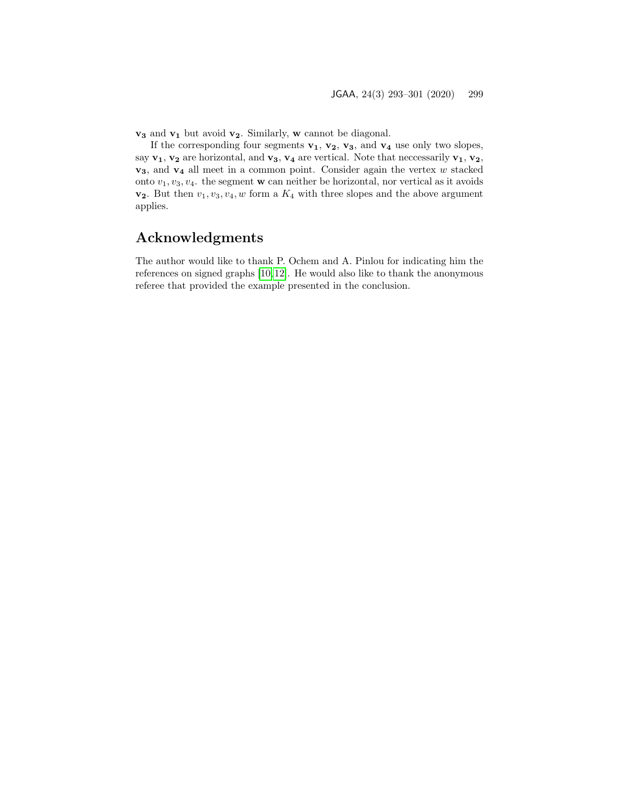$\mathbf{v}_3$  and  $\mathbf{v}_1$  but avoid  $\mathbf{v}_2$ . Similarly,  $\mathbf{w}$  cannot be diagonal.

If the corresponding four segments  $v_1$ ,  $v_2$ ,  $v_3$ , and  $v_4$  use only two slopes, say  $v_1, v_2$  are horizontal, and  $v_3, v_4$  are vertical. Note that neccessarily  $v_1, v_2$ ,  $v_3$ , and  $v_4$  all meet in a common point. Consider again the vertex w stacked onto  $v_1, v_3, v_4$ . the segment **w** can neither be horizontal, nor vertical as it avoids  $v_2$ . But then  $v_1, v_3, v_4, w$  form a  $K_4$  with three slopes and the above argument applies.

## Acknowledgments

The author would like to thank P. Ochem and A. Pinlou for indicating him the references on signed graphs [\[10,](#page-7-8)[12\]](#page-7-9). He would also like to thank the anonymous referee that provided the example presented in the conclusion.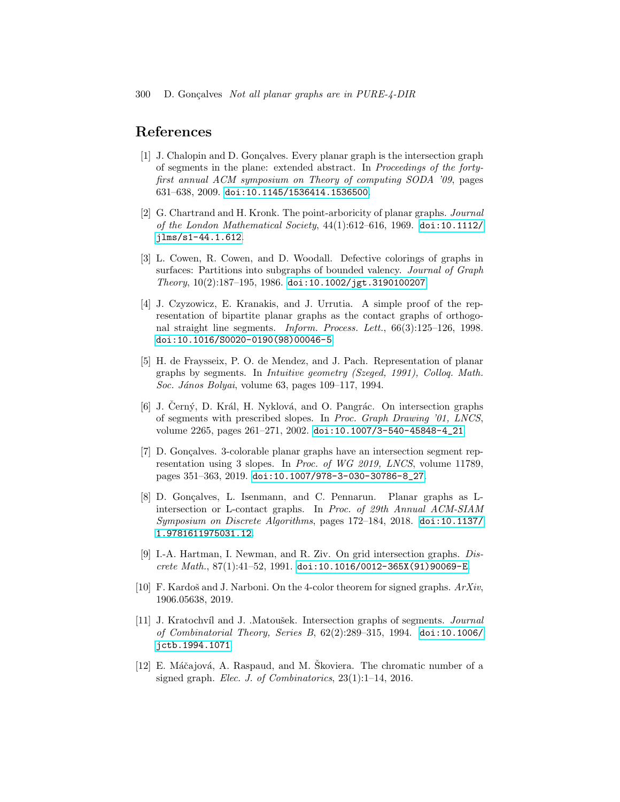#### References

- <span id="page-7-2"></span>[1] J. Chalopin and D. Gonçalves. Every planar graph is the intersection graph of segments in the plane: extended abstract. In Proceedings of the fortyfirst annual ACM symposium on Theory of computing SODA '09, pages 631–638, 2009. [doi:10.1145/1536414.1536500](https://doi.org/10.1145/1536414.1536500).
- <span id="page-7-10"></span>[2] G. Chartrand and H. Kronk. The point-arboricity of planar graphs. Journal of the London Mathematical Society,  $44(1):612-616$ , 1969. [doi:10.1112/](https://doi.org/10.1112/jlms/s1-44.1.612) [jlms/s1-44.1.612](https://doi.org/10.1112/jlms/s1-44.1.612).
- <span id="page-7-11"></span>[3] L. Cowen, R. Cowen, and D. Woodall. Defective colorings of graphs in surfaces: Partitions into subgraphs of bounded valency. Journal of Graph Theory, 10(2):187–195, 1986. [doi:10.1002/jgt.3190100207](https://doi.org/10.1002/jgt.3190100207).
- <span id="page-7-4"></span>[4] J. Czyzowicz, E. Kranakis, and J. Urrutia. A simple proof of the representation of bipartite planar graphs as the contact graphs of orthogonal straight line segments. Inform. Process. Lett., 66(3):125–126, 1998. [doi:10.1016/S0020-0190\(98\)00046-5](https://doi.org/10.1016/S0020-0190(98)00046-5).
- <span id="page-7-5"></span>[5] H. de Fraysseix, P. O. de Mendez, and J. Pach. Representation of planar graphs by segments. In Intuitive geometry (Szeged, 1991), Colloq. Math. Soc. János Bolyai, volume 63, pages 109–117, 1994.
- <span id="page-7-1"></span>[6] J. Černý, D. Král, H. Nyklová, and O. Pangrác. On intersection graphs of segments with prescribed slopes. In Proc. Graph Drawing '01, LNCS, volume 2265, pages 261–271, 2002. [doi:10.1007/3-540-45848-4\\_21](https://doi.org/10.1007/3-540-45848-4_21).
- <span id="page-7-6"></span>[7] D. Gonçalves. 3-colorable planar graphs have an intersection segment representation using 3 slopes. In Proc. of WG 2019, LNCS, volume 11789, pages 351–363, 2019. [doi:10.1007/978-3-030-30786-8\\_27](https://doi.org/10.1007/978-3-030-30786-8_27).
- <span id="page-7-3"></span>[8] D. Gonçalves, L. Isenmann, and C. Pennarun. Planar graphs as Lintersection or L-contact graphs. In Proc. of 29th Annual ACM-SIAM Symposium on Discrete Algorithms, pages 172–184, 2018. [doi:10.1137/](https://doi.org/10.1137/1.9781611975031.12) [1.9781611975031.12](https://doi.org/10.1137/1.9781611975031.12).
- <span id="page-7-7"></span>[9] I.-A. Hartman, I. Newman, and R. Ziv. On grid intersection graphs. Discrete Math., 87(1):41–52, 1991. [doi:10.1016/0012-365X\(91\)90069-E](https://doi.org/10.1016/0012-365X(91)90069-E).
- <span id="page-7-8"></span>[10] F. Kardoš and J. Narboni. On the 4-color theorem for signed graphs.  $ArXiv$ , 1906.05638, 2019.
- <span id="page-7-0"></span>[11] J. Kratochvíl and J. .Matoušek. Intersection graphs of segments. *Journal* of Combinatorial Theory, Series B, 62(2):289–315, 1994. [doi:10.1006/](https://doi.org/10.1006/jctb.1994.1071) [jctb.1994.1071](https://doi.org/10.1006/jctb.1994.1071).
- <span id="page-7-9"></span> $[12]$  E. Máčajová, A. Raspaud, and M. Skoviera. The chromatic number of a signed graph. Elec. J. of Combinatorics, 23(1):1–14, 2016.